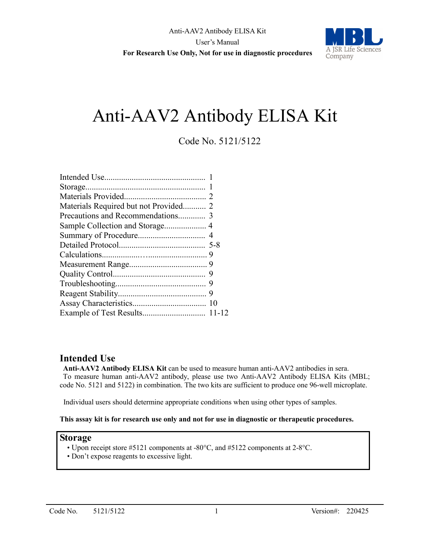

## Code No. 5121/5122

## **Intended Use**

**Anti-AAV2 Antibody ELISA Kit** can be used to measure human anti-AAV2 antibodies in sera. To measure human anti-AAV2 antibody, please use two Anti-AAV2 Antibody ELISA Kits (MBL; code No. 5121 and 5122) in combination. The two kits are sufficient to produce one 96-well microplate.

Individual users should determine appropriate conditions when using other types of samples.

#### **This assay kit is for research use only and not for use in diagnostic or therapeutic procedures.**

#### **Storage**

- Upon receipt store #5121 components at -80°C, and #5122 components at 2-8°C.
- Don't expose reagents to excessive light.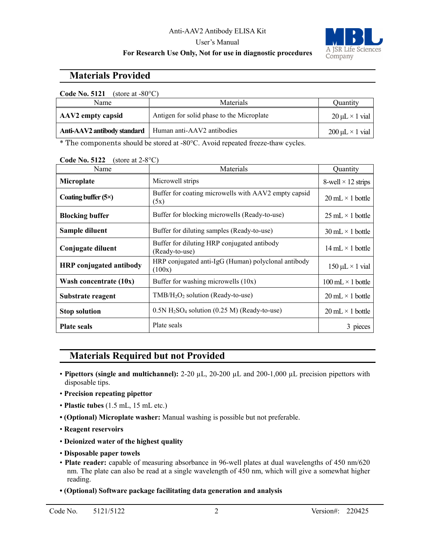#### User's Manual



### **For Research Use Only, Not for use in diagnostic procedures**

## **Materials Provided**

| <b>Code No. 5121</b><br>(store at $-80^{\circ}$ C) |                                           |                           |  |  |  |
|----------------------------------------------------|-------------------------------------------|---------------------------|--|--|--|
| Name                                               | <b>Materials</b>                          | Ouantity                  |  |  |  |
| AAV2 empty capsid                                  | Antigen for solid phase to the Microplate | $20 \mu L \times 1$ vial  |  |  |  |
| Anti-AAV2 antibody standard                        | Human anti-AAV2 antibodies                | $200 \mu L \times 1$ vial |  |  |  |

\* The components should be stored at -80°C. Avoid repeated freeze-thaw cycles.

| Name                           | Materials                                                              | Quantity                                 |
|--------------------------------|------------------------------------------------------------------------|------------------------------------------|
| Microplate                     | Microwell strips                                                       | 8-well $\times$ 12 strips                |
| Coating buffer $(5\times)$     | Buffer for coating microwells with AAV2 empty capsid<br>(5x)           | $20 \text{ mL} \times 1 \text{ bottle}$  |
| <b>Blocking buffer</b>         | Buffer for blocking microwells (Ready-to-use)                          | $25 \text{ mL} \times 1 \text{ bottle}$  |
| Sample diluent                 | Buffer for diluting samples (Ready-to-use)                             | $30 \text{ mL} \times 1 \text{ bottle}$  |
| Conjugate diluent              | Buffer for diluting HRP conjugated antibody<br>(Ready-to-use)          | $14 \text{ mL} \times 1 \text{ bottle}$  |
| <b>HRP</b> conjugated antibody | HRP conjugated anti-IgG (Human) polyclonal antibody<br>(100x)          | $150 \mu L \times 1$ vial                |
| Wash concentrate $(10x)$       | Buffer for washing microwells (10x)                                    | $100 \text{ mL} \times 1 \text{ bottle}$ |
| Substrate reagent              | $TMB/H2O2$ solution (Ready-to-use)                                     | $20 \text{ mL} \times 1 \text{ bottle}$  |
| <b>Stop solution</b>           | $0.5N$ H <sub>2</sub> SO <sub>4</sub> solution (0.25 M) (Ready-to-use) | $20 \text{ mL} \times 1 \text{ bottle}$  |
| <b>Plate seals</b>             | Plate seals                                                            | 3 pieces                                 |

**Code No. 5122** (store at 2-8°C)

## **Materials Required but not Provided**

- **Pipettors (single and multichannel):** 2-20 µL, 20-200 µL and 200-1,000 µL precision pipettors with disposable tips.
- **Precision repeating pipettor**
- **Plastic tubes** (1.5 mL, 15 mL etc.)
- **(Optional) Microplate washer:** Manual washing is possible but not preferable.
- **Reagent reservoirs**
- **Deionized water of the highest quality**
- **Disposable paper towels**
- **Plate reader:** capable of measuring absorbance in 96-well plates at dual wavelengths of 450 nm/620 nm. The plate can also be read at a single wavelength of 450 nm, which will give a somewhat higher reading.
- **(Optional) Software package facilitating data generation and analysis**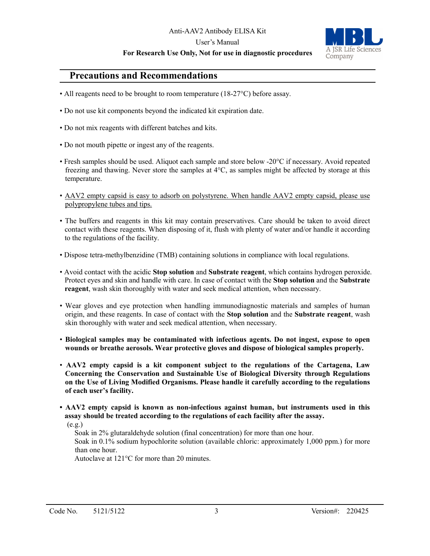User's Manual

#### **For Research Use Only, Not for use in diagnostic procedures**



### **Precautions and Recommendations**

- All reagents need to be brought to room temperature (18-27 °C) before assay.
- Do not use kit components beyond the indicated kit expiration date.
- Do not mix reagents with different batches and kits.
- Do not mouth pipette or ingest any of the reagents.
- Fresh samples should be used. Aliquot each sample and store below -20°C if necessary. Avoid repeated freezing and thawing. Never store the samples at 4°C, as samples might be affected by storage at this temperature.
- AAV2 empty capsid is easy to adsorb on polystyrene. When handle AAV2 empty capsid, please use polypropylene tubes and tips.
- The buffers and reagents in this kit may contain preservatives. Care should be taken to avoid direct contact with these reagents. When disposing of it, flush with plenty of water and/or handle it according to the regulations of the facility.
- Dispose tetra-methylbenzidine (TMB) containing solutions in compliance with local regulations.
- Avoid contact with the acidic **Stop solution** and **Substrate reagent**, which contains hydrogen peroxide. Protect eyes and skin and handle with care. In case of contact with the **Stop solution** and the **Substrate reagent**, wash skin thoroughly with water and seek medical attention, when necessary.
- Wear gloves and eye protection when handling immunodiagnostic materials and samples of human origin, and these reagents. In case of contact with the **Stop solution** and the **Substrate reagent**, wash skin thoroughly with water and seek medical attention, when necessary.
- **Biological samples may be contaminated with infectious agents. Do not ingest, expose to open wounds or breathe aerosols. Wear protective gloves and dispose of biological samples properly.**
- **AAV2 empty capsid is a kit component subject to the regulations of the Cartagena, Law Concerning the Conservation and Sustainable Use of Biological Diversity through Regulations on the Use of Living Modified Organisms. Please handle it carefully according to the regulations of each user's facility.**
- **AAV2 empty capsid is known as non-infectious against human, but instruments used in this assay should be treated according to the regulations of each facility after the assay.**

 $(e.g.)$ 

Soak in 2% glutaraldehyde solution (final concentration) for more than one hour.

 Soak in 0.1% sodium hypochlorite solution (available chloric: approximately 1,000 ppm.) for more than one hour.

Autoclave at 121°C for more than 20 minutes.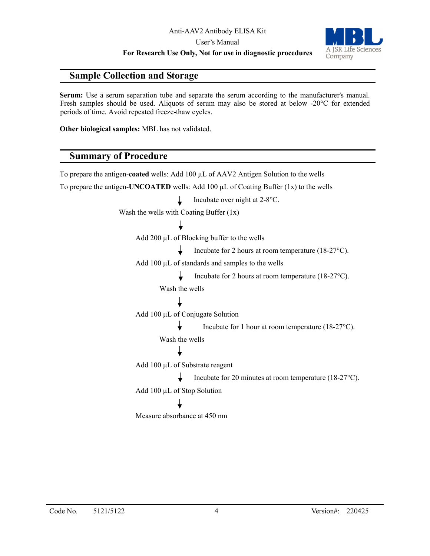User's Manual

**For Research Use Only, Not for use in diagnostic procedures**



## **Sample Collection and Storage**

**Serum:** Use a serum separation tube and separate the serum according to the manufacturer's manual. Fresh samples should be used. Aliquots of serum may also be stored at below -20°C for extended periods of time. Avoid repeated freeze-thaw cycles.

**Other biological samples:** MBL has not validated.

## **Summary of Procedure**

To prepare the antigen-**coated** wells: Add 100 µL of AAV2 Antigen Solution to the wells To prepare the antigen-**UNCOATED** wells: Add 100  $\mu$ L of Coating Buffer (1x) to the wells Incubate over night at 2-8°C. T Wash the wells with Coating Buffer (1x) Add 200 µL of Blocking buffer to the wells Incubate for 2 hours at room temperature (18-27°C). Add 100 µL of standards and samples to the wells T. Incubate for 2 hours at room temperature (18-27°C). Wash the wells Add 100 µL of Conjugate Solution Incubate for 1 hour at room temperature (18-27°C). Wash the wells Add 100 µL of Substrate reagent Incubate for 20 minutes at room temperature (18-27°C). Add 100 µL of Stop Solution Measure absorbance at 450 nm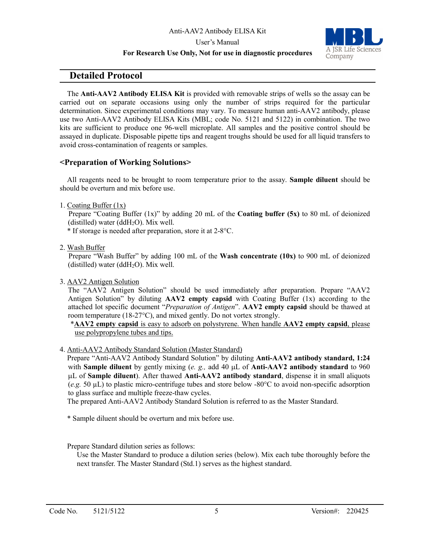#### User's Manual

#### **For Research Use Only, Not for use in diagnostic procedures**



## **Detailed Protocol**

The **Anti-AAV2 Antibody ELISA Kit** is provided with removable strips of wells so the assay can be carried out on separate occasions using only the number of strips required for the particular determination. Since experimental conditions may vary. To measure human anti-AAV2 antibody, please use two Anti-AAV2 Antibody ELISA Kits (MBL; code No. 5121 and 5122) in combination. The two kits are sufficient to produce one 96-well microplate. All samples and the positive control should be assayed in duplicate. Disposable pipette tips and reagent troughs should be used for all liquid transfers to avoid cross-contamination of reagents or samples.

#### **<Preparation of Working Solutions>**

All reagents need to be brought to room temperature prior to the assay. **Sample diluent** should be should be overturn and mix before use.

1. Coating Buffer (1x)

Prepare "Coating Buffer (1x)" by adding 20 mL of the **Coating buffer (5x)** to 80 mL of deionized (distilled) water (dd $H_2O$ ). Mix well.

\* If storage is needed after preparation, store it at 2-8°C.

2. Wash Buffer

Prepare "Wash Buffer" by adding 100 mL of the **Wash concentrate (10x)** to 900 mL of deionized (distilled) water (dd $H_2O$ ). Mix well.

3. AAV2 Antigen Solution

The "AAV2 Antigen Solution" should be used immediately after preparation. Prepare "AAV2 Antigen Solution" by diluting **AAV2 empty capsid** with Coating Buffer (1x) according to the attached lot specific document "*Preparation of Antigen*". **AAV2 empty capsid** should be thawed at room temperature (18-27°C), and mixed gently. Do not vortex strongly.

\***AAV2 empty capsid** is easy to adsorb on polystyrene. When handle **AAV2 empty capsid**, please use polypropylene tubes and tips.

4. Anti-AAV2 Antibody Standard Solution (Master Standard)

Prepare "Anti-AAV2 Antibody Standard Solution" by diluting **Anti-AAV2 antibody standard, 1:24** with **Sample diluent** by gently mixing (*e. g.,* add 40 µL of **Anti-AAV2 antibody standard** to 960 µL of **Sample diluent**). After thawed **Anti-AAV2 antibody standard**, dispense it in small aliquots (*e.g.* 50 µL) to plastic micro-centrifuge tubes and store below -80°C to avoid non-specific adsorption to glass surface and multiple freeze-thaw cycles.

The prepared Anti-AAV2 Antibody Standard Solution is referred to as the Master Standard.

- \* Sample diluent should be overturn and mix before use.
- Prepare Standard dilution series as follows:

Use the Master Standard to produce a dilution series (below). Mix each tube thoroughly before the next transfer. The Master Standard (Std.1) serves as the highest standard.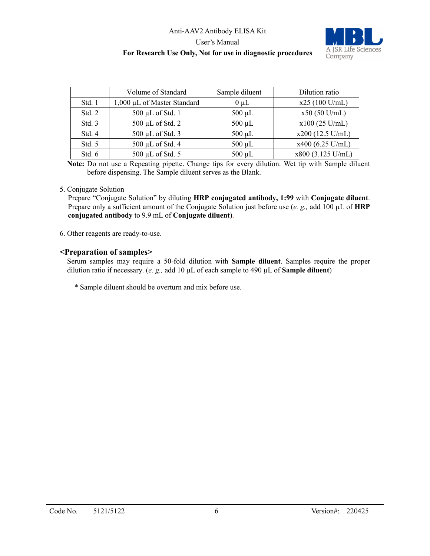### Anti-AAV2 Antibody ELISA Kit User's Manual **For Research Use Only, Not for use in diagnostic procedures**



|        | Volume of Standard          | Sample diluent | Dilution ratio     |
|--------|-----------------------------|----------------|--------------------|
| Std. 1 | 1,000 µL of Master Standard | $0 \mu L$      | $x25(100$ U/mL)    |
| Std. 2 | 500 µL of Std. 1            | $500 \mu L$    | $x50(50$ U/mL)     |
| Std. 3 | 500 µL of Std. 2            | $500 \mu L$    | $x100$ (25 U/mL)   |
| Std. 4 | 500 µL of Std. 3            | $500 \mu L$    | $x200$ (12.5 U/mL) |
| Std. 5 | 500 µL of Std. 4            | $500 \mu L$    | $x400$ (6.25 U/mL) |
| Std. 6 | 500 µL of Std. 5            | $500 \mu L$    | x800 (3.125 U/mL)  |

**Note:** Do not use a Repeating pipette. Change tips for every dilution. Wet tip with Sample diluent before dispensing. The Sample diluent serves as the Blank.

#### 5. Conjugate Solution

Prepare "Conjugate Solution" by diluting **HRP conjugated antibody, 1:99** with **Conjugate diluent**. Prepare only a sufficient amount of the Conjugate Solution just before use (*e. g.,* add 100 µL of **HRP conjugated antibody** to 9.9 mL of **Conjugate diluent**).

6. Other reagents are ready-to-use.

#### **<Preparation of samples>**

Serum samples may require a 50-fold dilution with **Sample diluent**. Samples require the proper dilution ratio if necessary. (*e. g.,* add 10 µL of each sample to 490 µL of **Sample diluent**)

\* Sample diluent should be overturn and mix before use.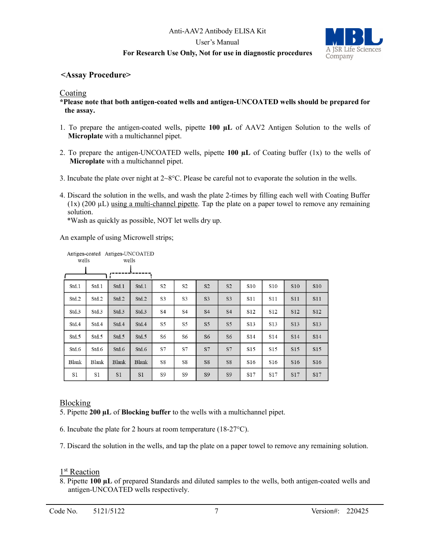## Anti-AAV2 Antibody ELISA Kit User's Manual **For Research Use Only, Not for use in diagnostic procedures**



#### **<Assay Procedure>**

#### Coating

**\*Please note that both antigen-coated wells and antigen-UNCOATED wells should be prepared for the assay.**

- 1. To prepare the antigen-coated wells, pipette **100 µL** of AAV2 Antigen Solution to the wells of **Microplate** with a multichannel pipet.
- 2. To prepare the antigen-UNCOATED wells, pipette **100 µL** of Coating buffer (1x) to the wells of **Microplate** with a multichannel pipet.
- 3. Incubate the plate over night at  $2 \times 8^{\circ}$ C. Please be careful not to evaporate the solution in the wells.
- 4. Discard the solution in the wells, and wash the plate 2-times by filling each well with Coating Buffer  $(1x)$  (200  $\mu$ L) using a multi-channel pipette. Tap the plate on a paper towel to remove any remaining solution.

\*Wash as quickly as possible, NOT let wells dry up.

An example of using Microwell strips;

| wells        | Antigen-coated Antigen-UNCOATED | wells          |                |                |                |                |                |                 |                 |                 |            |
|--------------|---------------------------------|----------------|----------------|----------------|----------------|----------------|----------------|-----------------|-----------------|-----------------|------------|
|              |                                 |                |                |                |                |                |                |                 |                 |                 |            |
| Std.1        | Std.1                           | Std.1          | Std.1          | S <sub>2</sub> | S <sub>2</sub> | S <sub>2</sub> | S <sub>2</sub> | S <sub>10</sub> | S10             | <b>S10</b>      | <b>S10</b> |
| Std.2        | Std.2                           | Std.2          | Std.2          | S <sub>3</sub> | S3             | S <sub>3</sub> | S <sub>3</sub> | S11             | S11             | <b>S11</b>      | S11        |
| Std.3        | Std.3                           | Std.3          | Std.3          | S4             | S4             | S <sub>4</sub> | <b>S4</b>      | S <sub>12</sub> | S <sub>12</sub> | S12             | S12        |
| Std.4        | Std.4                           | Std.4          | Std.4          | S5             | S5             | S <sub>5</sub> | S <sub>5</sub> | S <sub>13</sub> | S <sub>13</sub> | <b>S13</b>      | S13        |
| Std.5        | Std.5                           | Std.5          | Std.5          | S6             | S6             | S <sub>6</sub> | S <sub>6</sub> | S <sub>14</sub> | S <sub>14</sub> | S <sub>14</sub> | S14        |
| Std.6        | Std.6                           | Std.6          | Std.6          | S7             | S7             | S7             | S7             | S15             | S15             | S15             | S15        |
| <b>Blank</b> | <b>Blank</b>                    | <b>Blank</b>   | <b>Blank</b>   | S8             | S8             | S8             | S8             | S <sub>16</sub> | S <sub>16</sub> | S <sub>16</sub> | S16        |
| S1           | S1                              | S <sub>1</sub> | S <sub>1</sub> | S9             | S9             | S <sub>9</sub> | S <sub>9</sub> | S17             | S17             | S17             | S17        |

#### Blocking

5. Pipette **200 µL** of **Blocking buffer** to the wells with a multichannel pipet.

6. Incubate the plate for 2 hours at room temperature (18-27°C).

7. Discard the solution in the wells, and tap the plate on a paper towel to remove any remaining solution.

#### 1<sup>st</sup> Reaction

8. Pipette **100 µL** of prepared Standards and diluted samples to the wells, both antigen-coated wells and antigen-UNCOATED wells respectively.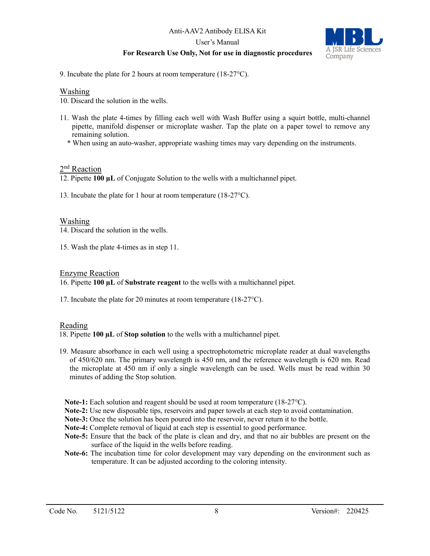User's Manual

#### **For Research Use Only, Not for use in diagnostic procedures**



9. Incubate the plate for 2 hours at room temperature (18-27°C).

#### Washing

10. Discard the solution in the wells.

- 11. Wash the plate 4-times by filling each well with Wash Buffer using a squirt bottle, multi-channel pipette, manifold dispenser or microplate washer. Tap the plate on a paper towel to remove any remaining solution.
	- \* When using an auto-washer, appropriate washing times may vary depending on the instruments.

#### 2<sup>nd</sup> Reaction

12. Pipette **100 µL** of Conjugate Solution to the wells with a multichannel pipet.

13. Incubate the plate for 1 hour at room temperature (18-27°C).

#### Washing

14. Discard the solution in the wells.

15. Wash the plate 4-times as in step 11.

#### Enzyme Reaction

16. Pipette **100 µL** of **Substrate reagent** to the wells with a multichannel pipet.

17. Incubate the plate for 20 minutes at room temperature (18-27°C).

#### Reading

18. Pipette **100 µL** of **Stop solution** to the wells with a multichannel pipet.

- 19. Measure absorbance in each well using a spectrophotometric microplate reader at dual wavelengths of 450/620 nm. The primary wavelength is 450 nm, and the reference wavelength is 620 nm. Read the microplate at 450 nm if only a single wavelength can be used. Wells must be read within 30 minutes of adding the Stop solution.
	- **Note-1:** Each solution and reagent should be used at room temperature (18-27°C).
	- **Note-2:** Use new disposable tips, reservoirs and paper towels at each step to avoid contamination.
- **Note-3:** Once the solution has been poured into the reservoir, never return it to the bottle.
- **Note-4:** Complete removal of liquid at each step is essential to good performance.
- **Note-5:** Ensure that the back of the plate is clean and dry, and that no air bubbles are present on the surface of the liquid in the wells before reading.
- **Note-6:** The incubation time for color development may vary depending on the environment such as temperature. It can be adjusted according to the coloring intensity.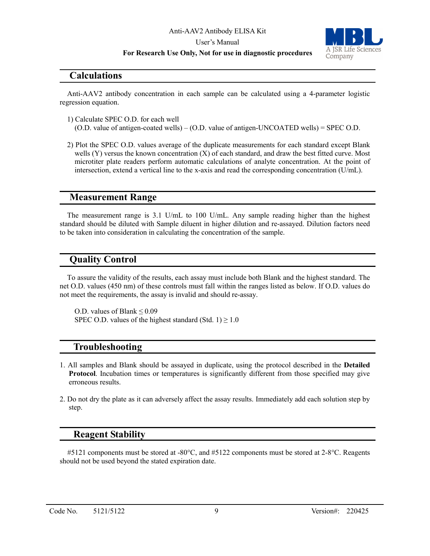User's Manual

#### **For Research Use Only, Not for use in diagnostic procedures**



#### **Calculations**

Anti-AAV2 antibody concentration in each sample can be calculated using a 4-parameter logistic regression equation.

1) Calculate SPEC O.D. for each well

(O.D. value of antigen-coated wells) – (O.D. value of antigen-UNCOATED wells) = SPEC O.D.

2) Plot the SPEC O.D. values average of the duplicate measurements for each standard except Blank wells (Y) versus the known concentration (X) of each standard, and draw the best fitted curve. Most microtiter plate readers perform automatic calculations of analyte concentration. At the point of intersection, extend a vertical line to the x-axis and read the corresponding concentration (U/mL).

#### **Measurement Range**

The measurement range is 3.1 U/mL to 100 U/mL. Any sample reading higher than the highest standard should be diluted with Sample diluent in higher dilution and re-assayed. Dilution factors need to be taken into consideration in calculating the concentration of the sample.

## **Quality Control**

To assure the validity of the results, each assay must include both Blank and the highest standard. The net O.D. values (450 nm) of these controls must fall within the ranges listed as below. If O.D. values do not meet the requirements, the assay is invalid and should re-assay.

O.D. values of Blank ≤ 0.09 SPEC O.D. values of the highest standard (Std. 1)  $\geq$  1.0

## **Troubleshooting**

- 1. All samples and Blank should be assayed in duplicate, using the protocol described in the **Detailed Protocol**. Incubation times or temperatures is significantly different from those specified may give erroneous results.
- 2. Do not dry the plate as it can adversely affect the assay results. Immediately add each solution step by step.

## **Reagent Stability**

#5121 components must be stored at -80°C, and #5122 components must be stored at 2-8°C. Reagents should not be used beyond the stated expiration date.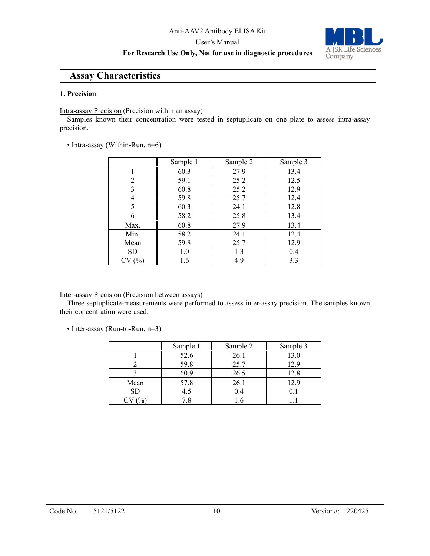User's Manual

## A JSR Life Sciences Company

#### **For Research Use Only, Not for use in diagnostic procedures**

### **Assay Characteristics**

#### **1. Precision**

Intra-assay Precision (Precision within an assay)

Samples known their concentration were tested in septuplicate on one plate to assess intra-assay precision.

• Intra-assay (Within-Run, n=6)

|           | Sample 1 | Sample 2 | Sample 3 |
|-----------|----------|----------|----------|
|           | 60.3     | 27.9     | 13.4     |
| 2         | 59.1     | 25.2     | 12.5     |
| 3         | 60.8     | 25.2     | 12.9     |
| 4         | 59.8     | 25.7     | 12.4     |
| 5         | 60.3     | 24.1     | 12.8     |
| 6         | 58.2     | 25.8     | 13.4     |
| Max.      | 60.8     | 27.9     | 13.4     |
| Min.      | 58.2     | 24.1     | 12.4     |
| Mean      | 59.8     | 25.7     | 12.9     |
| <b>SD</b> | 1.0      | 1.3      | 0.4      |
| (%)       | 1.6      | 4.9      | 3.3      |

#### Inter-assay Precision (Precision between assays)

Three septuplicate-measurements were performed to assess inter-assay precision. The samples known their concentration were used.

• Inter-assay (Run-to-Run, n=3)

|      | Sample 1 | Sample 2 | Sample 3 |
|------|----------|----------|----------|
|      | 52.6     | 26.1     |          |
|      | 59.8     | 25.7     | 12.9     |
|      | 60.9     | 26.5     | 12.8     |
| Mean | 57.8     | 26.1     | 12.9     |
| SD   | 4.5      | 0.4      |          |
|      | .8       |          |          |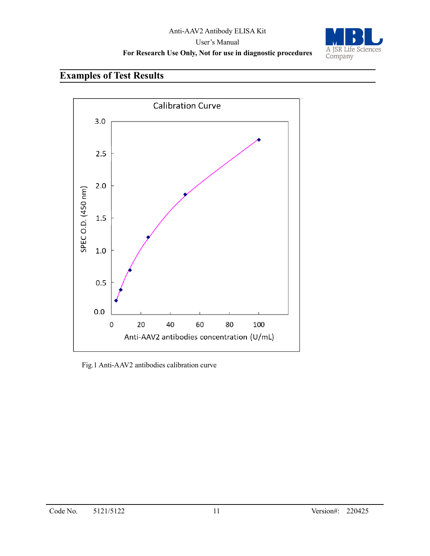

## **Examples of Test Results**



Fig.1 Anti-AAV2 antibodies calibration curve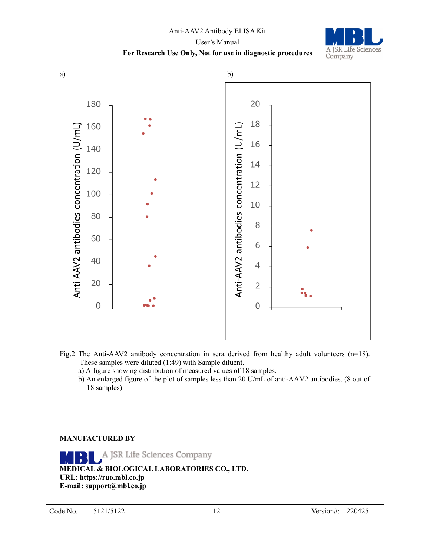## Anti-AAV2 Antibody ELISA Kit User's Manual **For Research Use Only, Not for use in diagnostic procedures**



- Fig.2 The Anti-AAV2 antibody concentration in sera derived from healthy adult volunteers (n=18). These samples were diluted (1:49) with Sample diluent.
	- a) A figure showing distribution of measured values of 18 samples.
	- b) An enlarged figure of the plot of samples less than 20 U/mL of anti-AAV2 antibodies. (8 out of 18 samples)

#### **MANUFACTURED BY**

A JSR Life Sciences Company **MEDICAL & BIOLOGICAL LABORATORIES CO., LTD. URL: https://ruo.mbl.co.jp E-mail: support@mbl.co.jp**

A JSR Life Sciences